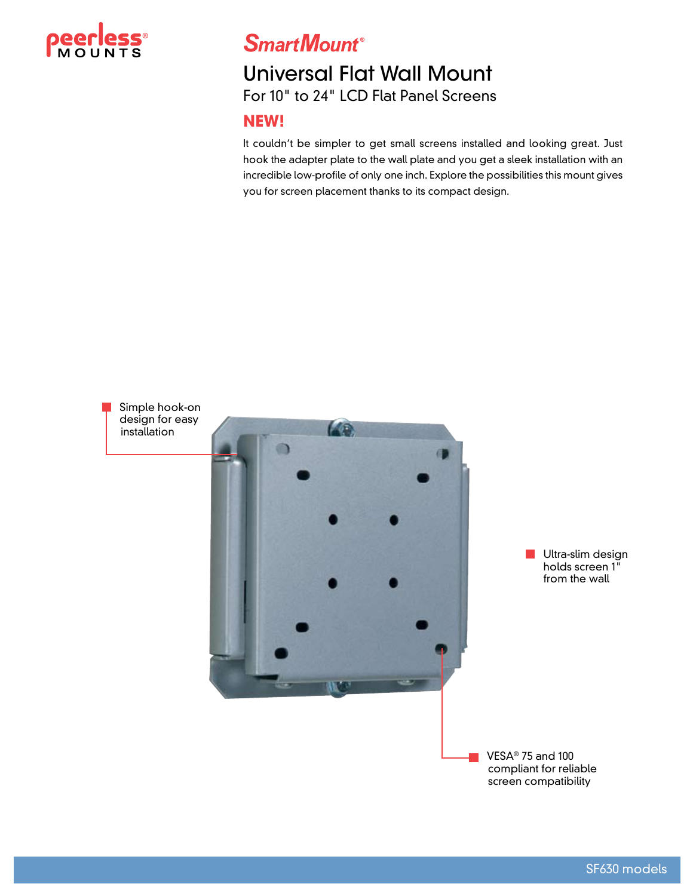

**SmartMount®** 

## Universal Flat Wall Mount For 10" to 24" LCD Flat Panel Screens

## **NEW!**

It couldn't be simpler to get small screens installed and looking great. Just hook the adapter plate to the wall plate and you get a sleek installation with an incredible low-profile of only one inch. Explore the possibilities this mount gives you for screen placement thanks to its compact design.